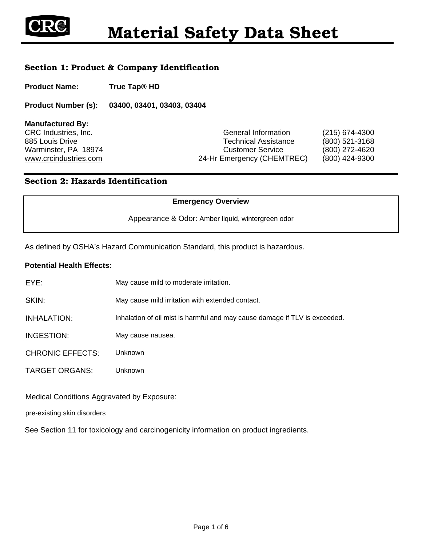

## Section 1: Product & Company Identification

**Product Name: True Tap® HD** 

**Product Number (s): 03400, 03401, 03403, 03404**

**Manufactured By:** 

CRC Industries, Inc. CRC Industries, Inc. CRC Industries, Inc. 885 Louis Drive Technical Assistance (800) 521-3168 Warminster, PA 18974 Customer Service (800) 272-4620 www.crcindustries.com 24-Hr Emergency (CHEMTREC) (800) 424-9300

## Section 2: Hazards Identification

#### **Emergency Overview**

Appearance & Odor: Amber liquid, wintergreen odor

As defined by OSHA's Hazard Communication Standard, this product is hazardous.

#### **Potential Health Effects:**

| May cause mild to moderate irritation.                                     |
|----------------------------------------------------------------------------|
| May cause mild irritation with extended contact.                           |
| Inhalation of oil mist is harmful and may cause damage if TLV is exceeded. |
| May cause nausea.                                                          |
| Unknown                                                                    |
| Unknown                                                                    |
|                                                                            |

Medical Conditions Aggravated by Exposure:

pre-existing skin disorders

See Section 11 for toxicology and carcinogenicity information on product ingredients.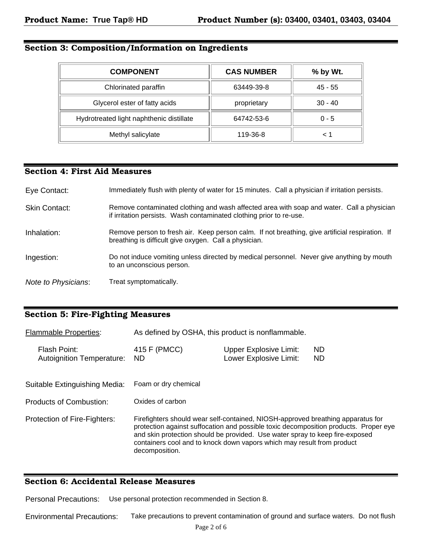# Section 3: Composition/Information on Ingredients

| <b>COMPONENT</b>                         | <b>CAS NUMBER</b> | % by Wt.  |
|------------------------------------------|-------------------|-----------|
| Chlorinated paraffin                     | 63449-39-8        | 45 - 55   |
| Glycerol ester of fatty acids            | proprietary       | $30 - 40$ |
| Hydrotreated light naphthenic distillate | 64742-53-6        | $0 - 5$   |
| Methyl salicylate                        | 119-36-8          |           |

## Section 4: First Aid Measures

| Eye Contact:         | Immediately flush with plenty of water for 15 minutes. Call a physician if irritation persists.                                                                  |
|----------------------|------------------------------------------------------------------------------------------------------------------------------------------------------------------|
| <b>Skin Contact:</b> | Remove contaminated clothing and wash affected area with soap and water. Call a physician<br>if irritation persists. Wash contaminated clothing prior to re-use. |
| Inhalation:          | Remove person to fresh air. Keep person calm. If not breathing, give artificial respiration. If<br>breathing is difficult give oxygen. Call a physician.         |
| Ingestion:           | Do not induce vomiting unless directed by medical personnel. Never give anything by mouth<br>to an unconscious person.                                           |
| Note to Physicians:  | Treat symptomatically.                                                                                                                                           |

## Section 5: Fire-Fighting Measures

| <b>Flammable Properties:</b>                     |                           | As defined by OSHA, this product is nonflammable.                                                                                                                                                                                                                                                                                 |                  |  |  |
|--------------------------------------------------|---------------------------|-----------------------------------------------------------------------------------------------------------------------------------------------------------------------------------------------------------------------------------------------------------------------------------------------------------------------------------|------------------|--|--|
| Flash Point:<br><b>Autoignition Temperature:</b> | 415 F (PMCC)<br><b>ND</b> | <b>Upper Explosive Limit:</b><br>Lower Explosive Limit:                                                                                                                                                                                                                                                                           | ND.<br><b>ND</b> |  |  |
| Suitable Extinguishing Media:                    | Foam or dry chemical      |                                                                                                                                                                                                                                                                                                                                   |                  |  |  |
| Products of Combustion:                          | Oxides of carbon          |                                                                                                                                                                                                                                                                                                                                   |                  |  |  |
| Protection of Fire-Fighters:                     | decomposition.            | Firefighters should wear self-contained, NIOSH-approved breathing apparatus for<br>protection against suffocation and possible toxic decomposition products. Proper eye<br>and skin protection should be provided. Use water spray to keep fire-exposed<br>containers cool and to knock down vapors which may result from product |                  |  |  |

### Section 6: Accidental Release Measures

Personal Precautions: Use personal protection recommended in Section 8.

Environmental Precautions: Take precautions to prevent contamination of ground and surface waters. Do not flush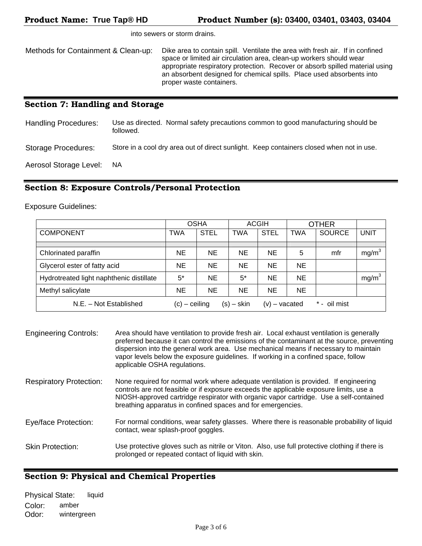Product Name: **True Tap® HD** Product Number (s): **03400, 03401, 03403, 03404**

### Section 7: Handling and Storage

Handling Procedures: Use as directed. Normal safety precautions common to good manufacturing should be followed. Storage Procedures: Store in a cool dry area out of direct sunlight. Keep containers closed when not in use. Aerosol Storage Level: NA

### Section 8: Exposure Controls/Personal Protection

Exposure Guidelines:

|                                          |                 | <b>OSHA</b> |              | <b>ACGIH</b>    |            | <b>OTHER</b>  |                   |
|------------------------------------------|-----------------|-------------|--------------|-----------------|------------|---------------|-------------------|
| <b>COMPONENT</b>                         | <b>TWA</b>      | <b>STEL</b> | <b>TWA</b>   | <b>STEL</b>     | <b>TWA</b> | <b>SOURCE</b> | <b>UNIT</b>       |
|                                          |                 |             |              |                 |            |               |                   |
| Chlorinated paraffin                     | <b>NE</b>       | <b>NE</b>   | <b>NE</b>    | <b>NE</b>       | 5          | mfr           | mg/m <sup>3</sup> |
| Glycerol ester of fatty acid             | <b>NE</b>       | <b>NE</b>   | <b>NE</b>    | <b>NE</b>       | NE.        |               |                   |
| Hydrotreated light naphthenic distillate | $5^*$           | <b>NE</b>   | 5*           | <b>NE</b>       | <b>NE</b>  |               | mg/m <sup>3</sup> |
| Methyl salicylate                        | <b>NE</b>       | <b>NE</b>   | <b>NE</b>    | <b>NE</b>       | NE.        |               |                   |
| N.E. - Not Established                   | $(c)$ – ceiling |             | $(s) -$ skin | $(v)$ – vacated |            | * - oil mist  |                   |

| <b>Engineering Controls:</b>   | Area should have ventilation to provide fresh air. Local exhaust ventilation is generally<br>preferred because it can control the emissions of the contaminant at the source, preventing<br>dispersion into the general work area. Use mechanical means if necessary to maintain<br>vapor levels below the exposure guidelines. If working in a confined space, follow<br>applicable OSHA regulations. |
|--------------------------------|--------------------------------------------------------------------------------------------------------------------------------------------------------------------------------------------------------------------------------------------------------------------------------------------------------------------------------------------------------------------------------------------------------|
| <b>Respiratory Protection:</b> | None required for normal work where adequate ventilation is provided. If engineering<br>controls are not feasible or if exposure exceeds the applicable exposure limits, use a<br>NIOSH-approved cartridge respirator with organic vapor cartridge. Use a self-contained<br>breathing apparatus in confined spaces and for emergencies.                                                                |
| Eye/face Protection:           | For normal conditions, wear safety glasses. Where there is reasonable probability of liquid<br>contact, wear splash-proof goggles.                                                                                                                                                                                                                                                                     |
| <b>Skin Protection:</b>        | Use protective gloves such as nitrile or Viton. Also, use full protective clothing if there is<br>prolonged or repeated contact of liquid with skin.                                                                                                                                                                                                                                                   |

### Section 9: Physical and Chemical Properties

| <b>Physical State:</b> | liquid      |  |
|------------------------|-------------|--|
| Color:                 | amber       |  |
| Odor:                  | wintergreen |  |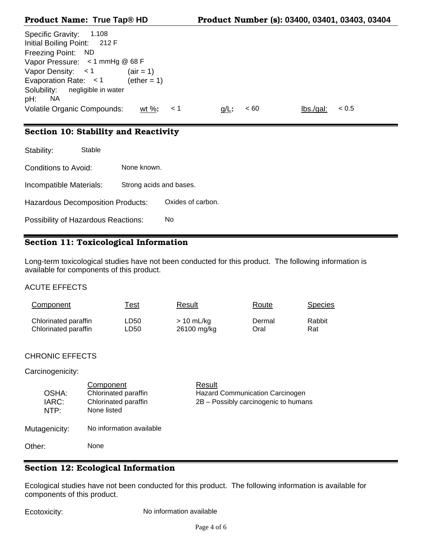| Specific Gravity:<br>1.108<br>Initial Boiling Point: 212 F<br>Freezing Point: ND |                      |       |         |      |          |       |
|----------------------------------------------------------------------------------|----------------------|-------|---------|------|----------|-------|
| Vapor Pressure: < 1 mmHg @ 68 F                                                  |                      |       |         |      |          |       |
|                                                                                  |                      |       |         |      |          |       |
| Vapor Density: $<$ 1                                                             | $(air = 1)$          |       |         |      |          |       |
| Evaporation Rate: $<$ 1                                                          | $(\text{ether} = 1)$ |       |         |      |          |       |
| negligible in water<br>Solubility:                                               |                      |       |         |      |          |       |
| NA.<br>pH:                                                                       |                      |       |         |      |          |       |
|                                                                                  |                      |       |         |      |          |       |
| <b>Volatile Organic Compounds:</b>                                               | wt $\%$ :            | - < 1 | $q/L$ : | < 60 | lbs/gal: | < 0.5 |

# Section 10: Stability and Reactivity

| Stability:                                 | Stable |                         |                   |
|--------------------------------------------|--------|-------------------------|-------------------|
| Conditions to Avoid:                       |        | None known.             |                   |
| Incompatible Materials:                    |        | Strong acids and bases. |                   |
| <b>Hazardous Decomposition Products:</b>   |        |                         | Oxides of carbon. |
| <b>Possibility of Hazardous Reactions:</b> |        |                         | No                |

# Section 11: Toxicological Information

Long-term toxicological studies have not been conducted for this product. The following information is available for components of this product.

### ACUTE EFFECTS

| Component            | <u>Test</u> | Result      | Route  | <b>Species</b> |
|----------------------|-------------|-------------|--------|----------------|
| Chlorinated paraffin | LD50        | $>10$ mL/kg | Dermal | Rabbit         |
| Chlorinated paraffin | LD50        | 26100 mg/kg | Oral   | Rat            |

## CHRONIC EFFECTS

### Carcinogenicity:

| OSHA:<br>IARC:<br>NTP: | Component<br>Chlorinated paraffin<br>Chlorinated paraffin<br>None listed | Result<br><b>Hazard Communication Carcinogen</b><br>2B - Possibly carcinogenic to humans |
|------------------------|--------------------------------------------------------------------------|------------------------------------------------------------------------------------------|
| Mutagenicity:          | No information available                                                 |                                                                                          |
| Other:                 | None                                                                     |                                                                                          |

# Section 12: Ecological Information

Ecological studies have not been conducted for this product. The following information is available for components of this product.

Ecotoxicity: No information available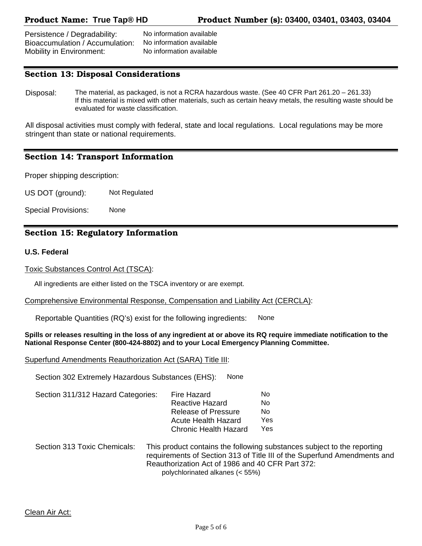Persistence / Degradability: No information available Bioaccumulation / Accumulation: No information available Mobility in Environment: No information available

## Section 13: Disposal Considerations

Disposal: The material, as packaged, is not a RCRA hazardous waste. (See 40 CFR Part 261.20 – 261.33) If this material is mixed with other materials, such as certain heavy metals, the resulting waste should be evaluated for waste classification.

All disposal activities must comply with federal, state and local regulations. Local regulations may be more stringent than state or national requirements.

### Section 14: Transport Information

Proper shipping description:

US DOT (ground): Not Regulated

Special Provisions: None

### Section 15: Regulatory Information

#### **U.S. Federal**

#### Toxic Substances Control Act (TSCA):

All ingredients are either listed on the TSCA inventory or are exempt.

#### Comprehensive Environmental Response, Compensation and Liability Act (CERCLA):

Reportable Quantities (RQ's) exist for the following ingredients: None

#### **Spills or releases resulting in the loss of any ingredient at or above its RQ require immediate notification to the National Response Center (800-424-8802) and to your Local Emergency Planning Committee.**

#### Superfund Amendments Reauthorization Act (SARA) Title III:

Section 302 Extremely Hazardous Substances (EHS): None

| Section 311/312 Hazard Categories: | Fire Hazard                  | No   |
|------------------------------------|------------------------------|------|
|                                    | <b>Reactive Hazard</b>       | No   |
|                                    | <b>Release of Pressure</b>   | Nο   |
|                                    | Acute Health Hazard          | Yes. |
|                                    | <b>Chronic Health Hazard</b> | Yes. |
|                                    |                              |      |

 Section 313 Toxic Chemicals: This product contains the following substances subject to the reporting requirements of Section 313 of Title III of the Superfund Amendments and Reauthorization Act of 1986 and 40 CFR Part 372: polychlorinated alkanes (< 55%)